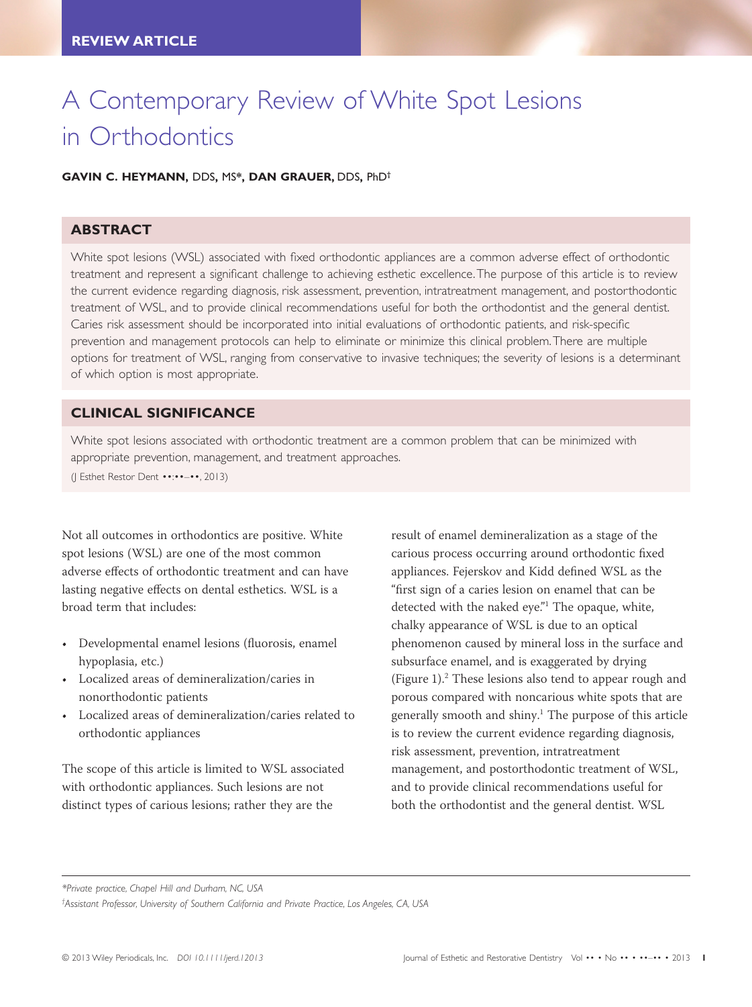# A Contemporary Review of White Spot Lesions in Orthodontics

**GAVIN C. HEYMANN,** DDS**,** MS**\*, DAN GRAUER,** DDS**,** PhD**†**

## **ABSTRACT**

White spot lesions (WSL) associated with fixed orthodontic appliances are a common adverse effect of orthodontic treatment and represent a significant challenge to achieving esthetic excellence. The purpose of this article is to review the current evidence regarding diagnosis, risk assessment, prevention, intratreatment management, and postor thodontic treatment of WSL, and to provide clinical recommendations useful for both the or thodontist and the general dentist. Caries risk assessment should be incorporated into initial evaluations of or thodontic patients, and risk-specific prevention and management protocols can help to eliminate or minimize this clinical problem.There are multiple options for treatment of WSL, ranging from conservative to invasive techniques; the severity of lesions is a determinant of which option is most appropriate.

## **CLINICAL SIGNIFICANCE**

White spot lesions associated with or thodontic treatment are a common problem that can be minimized with appropriate prevention, management, and treatment approaches.

(J Esthet Restor Dent ••:••–••, 2013)

Not all outcomes in orthodontics are positive. White spot lesions (WSL) are one of the most common adverse effects of orthodontic treatment and can have lasting negative effects on dental esthetics. WSL is a broad term that includes:

- Developmental enamel lesions (fluorosis, enamel hypoplasia, etc.)
- Localized areas of demineralization/caries in nonorthodontic patients
- Localized areas of demineralization/caries related to orthodontic appliances

The scope of this article is limited to WSL associated with orthodontic appliances. Such lesions are not distinct types of carious lesions; rather they are the

result of enamel demineralization as a stage of the carious process occurring around orthodontic fixed appliances. Fejerskov and Kidd defined WSL as the "first sign of a caries lesion on enamel that can be detected with the naked eye."1 The opaque, white, chalky appearance of WSL is due to an optical phenomenon caused by mineral loss in the surface and subsurface enamel, and is exaggerated by drying (Figure  $1$ ).<sup>2</sup> These lesions also tend to appear rough and porous compared with noncarious white spots that are generally smooth and shiny.<sup>1</sup> The purpose of this article is to review the current evidence regarding diagnosis, risk assessment, prevention, intratreatment management, and postorthodontic treatment of WSL, and to provide clinical recommendations useful for both the orthodontist and the general dentist. WSL

*\*Private practice, Chapel Hill and Durham, NC, USA*

*† Assistant Professor, University of Southern California and Private Practice, Los Angeles, CA, USA*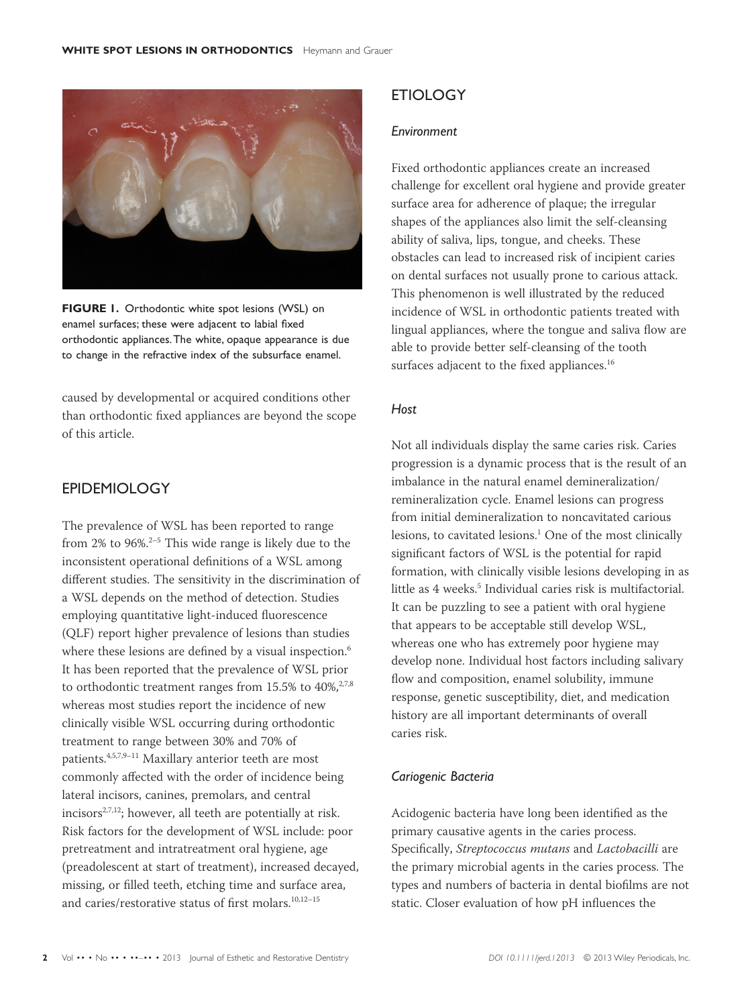

**FIGURE 1.** Orthodontic white spot lesions (WSL) on enamel surfaces; these were adjacent to labial fixed orthodontic appliances.The white, opaque appearance is due to change in the refractive index of the subsurface enamel.

caused by developmental or acquired conditions other than orthodontic fixed appliances are beyond the scope of this article.

## **EPIDEMIOLOGY**

The prevalence of WSL has been reported to range from  $2\%$  to  $96\%$ <sup>2-5</sup> This wide range is likely due to the inconsistent operational definitions of a WSL among different studies. The sensitivity in the discrimination of a WSL depends on the method of detection. Studies employing quantitative light-induced fluorescence (QLF) report higher prevalence of lesions than studies where these lesions are defined by a visual inspection.<sup>6</sup> It has been reported that the prevalence of WSL prior to orthodontic treatment ranges from  $15.5\%$  to  $40\%,^{27,8}$ whereas most studies report the incidence of new clinically visible WSL occurring during orthodontic treatment to range between 30% and 70% of patients.4,5,7,9–11 Maxillary anterior teeth are most commonly affected with the order of incidence being lateral incisors, canines, premolars, and central incisors<sup>2,7,12</sup>; however, all teeth are potentially at risk. Risk factors for the development of WSL include: poor pretreatment and intratreatment oral hygiene, age (preadolescent at start of treatment), increased decayed, missing, or filled teeth, etching time and surface area, and caries/restorative status of first molars.<sup>10,12-15</sup>

## ETIOLOGY

#### *Environment*

Fixed orthodontic appliances create an increased challenge for excellent oral hygiene and provide greater surface area for adherence of plaque; the irregular shapes of the appliances also limit the self-cleansing ability of saliva, lips, tongue, and cheeks. These obstacles can lead to increased risk of incipient caries on dental surfaces not usually prone to carious attack. This phenomenon is well illustrated by the reduced incidence of WSL in orthodontic patients treated with lingual appliances, where the tongue and saliva flow are able to provide better self-cleansing of the tooth surfaces adjacent to the fixed appliances.<sup>16</sup>

#### *Host*

Not all individuals display the same caries risk. Caries progression is a dynamic process that is the result of an imbalance in the natural enamel demineralization/ remineralization cycle. Enamel lesions can progress from initial demineralization to noncavitated carious lesions, to cavitated lesions.<sup>1</sup> One of the most clinically significant factors of WSL is the potential for rapid formation, with clinically visible lesions developing in as little as 4 weeks.<sup>5</sup> Individual caries risk is multifactorial. It can be puzzling to see a patient with oral hygiene that appears to be acceptable still develop WSL, whereas one who has extremely poor hygiene may develop none. Individual host factors including salivary flow and composition, enamel solubility, immune response, genetic susceptibility, diet, and medication history are all important determinants of overall caries risk.

### *Cariogenic Bacteria*

Acidogenic bacteria have long been identified as the primary causative agents in the caries process. Specifically, *Streptococcus mutans* and *Lactobacilli* are the primary microbial agents in the caries process. The types and numbers of bacteria in dental biofilms are not static. Closer evaluation of how pH influences the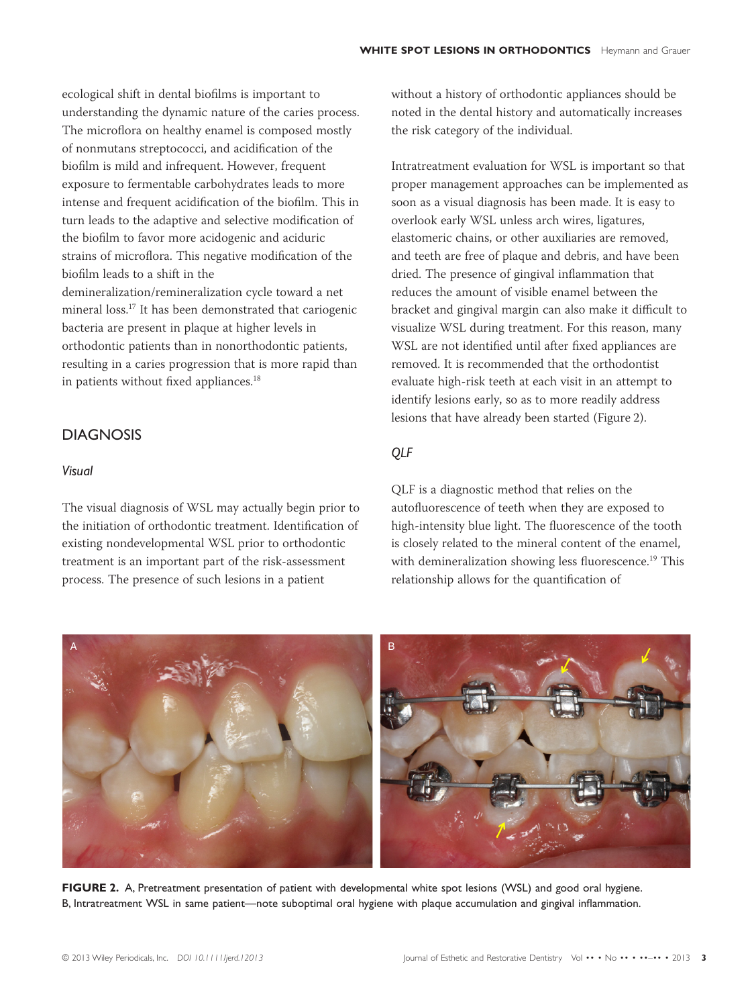ecological shift in dental biofilms is important to understanding the dynamic nature of the caries process. The microflora on healthy enamel is composed mostly of nonmutans streptococci, and acidification of the biofilm is mild and infrequent. However, frequent exposure to fermentable carbohydrates leads to more intense and frequent acidification of the biofilm. This in turn leads to the adaptive and selective modification of the biofilm to favor more acidogenic and aciduric strains of microflora. This negative modification of the biofilm leads to a shift in the demineralization/remineralization cycle toward a net mineral loss.17 It has been demonstrated that cariogenic bacteria are present in plaque at higher levels in orthodontic patients than in nonorthodontic patients, resulting in a caries progression that is more rapid than in patients without fixed appliances.<sup>18</sup>

# DIAGNOSIS

## *Visual*

The visual diagnosis of WSL may actually begin prior to the initiation of orthodontic treatment. Identification of existing nondevelopmental WSL prior to orthodontic treatment is an important part of the risk-assessment process. The presence of such lesions in a patient

without a history of orthodontic appliances should be noted in the dental history and automatically increases the risk category of the individual.

Intratreatment evaluation for WSL is important so that proper management approaches can be implemented as soon as a visual diagnosis has been made. It is easy to overlook early WSL unless arch wires, ligatures, elastomeric chains, or other auxiliaries are removed, and teeth are free of plaque and debris, and have been dried. The presence of gingival inflammation that reduces the amount of visible enamel between the bracket and gingival margin can also make it difficult to visualize WSL during treatment. For this reason, many WSL are not identified until after fixed appliances are removed. It is recommended that the orthodontist evaluate high-risk teeth at each visit in an attempt to identify lesions early, so as to more readily address lesions that have already been started (Figure 2).

# *QLF*

QLF is a diagnostic method that relies on the autofluorescence of teeth when they are exposed to high-intensity blue light. The fluorescence of the tooth is closely related to the mineral content of the enamel, with demineralization showing less fluorescence.<sup>19</sup> This relationship allows for the quantification of



**FIGURE 2.** A, Pretreatment presentation of patient with developmental white spot lesions (WSL) and good oral hygiene. B, Intratreatment WSL in same patient—note suboptimal oral hygiene with plaque accumulation and gingival inflammation.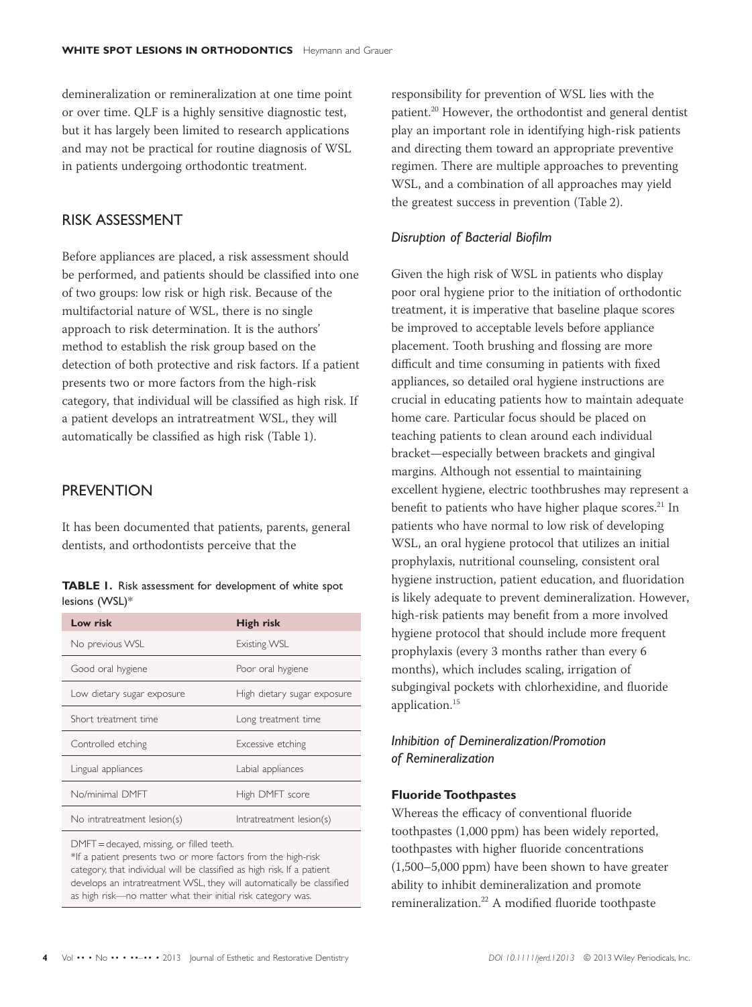demineralization or remineralization at one time point or over time. QLF is a highly sensitive diagnostic test, but it has largely been limited to research applications and may not be practical for routine diagnosis of WSL in patients undergoing orthodontic treatment.

## RISK ASSESSMENT

Before appliances are placed, a risk assessment should be performed, and patients should be classified into one of two groups: low risk or high risk. Because of the multifactorial nature of WSL, there is no single approach to risk determination. It is the authors' method to establish the risk group based on the detection of both protective and risk factors. If a patient presents two or more factors from the high-risk category, that individual will be classified as high risk. If a patient develops an intratreatment WSL, they will automatically be classified as high risk (Table 1).

## **PREVENTION**

It has been documented that patients, parents, general dentists, and orthodontists perceive that the

|                | <b>TABLE 1.</b> Risk assessment for development of white spot |  |  |
|----------------|---------------------------------------------------------------|--|--|
| lesions (WSL)* |                                                               |  |  |

| Low risk                    | <b>High risk</b>            |
|-----------------------------|-----------------------------|
| No previous WSL             | <b>Existing WSL</b>         |
| Good oral hygiene           | Poor oral hygiene           |
| Low dietary sugar exposure  | High dietary sugar exposure |
| Short treatment time        | Long treatment time         |
| Controlled etching          | Excessive etching           |
| Lingual appliances          | Labial appliances           |
| No/minimal DMFT             | High DMFT score             |
| No intratreatment lesion(s) | Intratreatment lesion(s)    |

DMFT = decayed, missing, or filled teeth.

\*If a patient presents two or more factors from the high-risk category, that individual will be classified as high risk. If a patient develops an intratreatment WSL, they will automatically be classified as high risk—no matter what their initial risk category was.

responsibility for prevention of WSL lies with the patient.20 However, the orthodontist and general dentist play an important role in identifying high-risk patients and directing them toward an appropriate preventive regimen. There are multiple approaches to preventing WSL, and a combination of all approaches may yield the greatest success in prevention (Table 2).

#### *Disruption of Bacterial Biofilm*

Given the high risk of WSL in patients who display poor oral hygiene prior to the initiation of orthodontic treatment, it is imperative that baseline plaque scores be improved to acceptable levels before appliance placement. Tooth brushing and flossing are more difficult and time consuming in patients with fixed appliances, so detailed oral hygiene instructions are crucial in educating patients how to maintain adequate home care. Particular focus should be placed on teaching patients to clean around each individual bracket—especially between brackets and gingival margins. Although not essential to maintaining excellent hygiene, electric toothbrushes may represent a benefit to patients who have higher plaque scores.<sup>21</sup> In patients who have normal to low risk of developing WSL, an oral hygiene protocol that utilizes an initial prophylaxis, nutritional counseling, consistent oral hygiene instruction, patient education, and fluoridation is likely adequate to prevent demineralization. However, high-risk patients may benefit from a more involved hygiene protocol that should include more frequent prophylaxis (every 3 months rather than every 6 months), which includes scaling, irrigation of subgingival pockets with chlorhexidine, and fluoride application.<sup>15</sup>

## *Inhibition of Demineralization/Promotion of Remineralization*

#### **Fluoride Toothpastes**

Whereas the efficacy of conventional fluoride toothpastes (1,000 ppm) has been widely reported, toothpastes with higher fluoride concentrations (1,500–5,000 ppm) have been shown to have greater ability to inhibit demineralization and promote remineralization.22 A modified fluoride toothpaste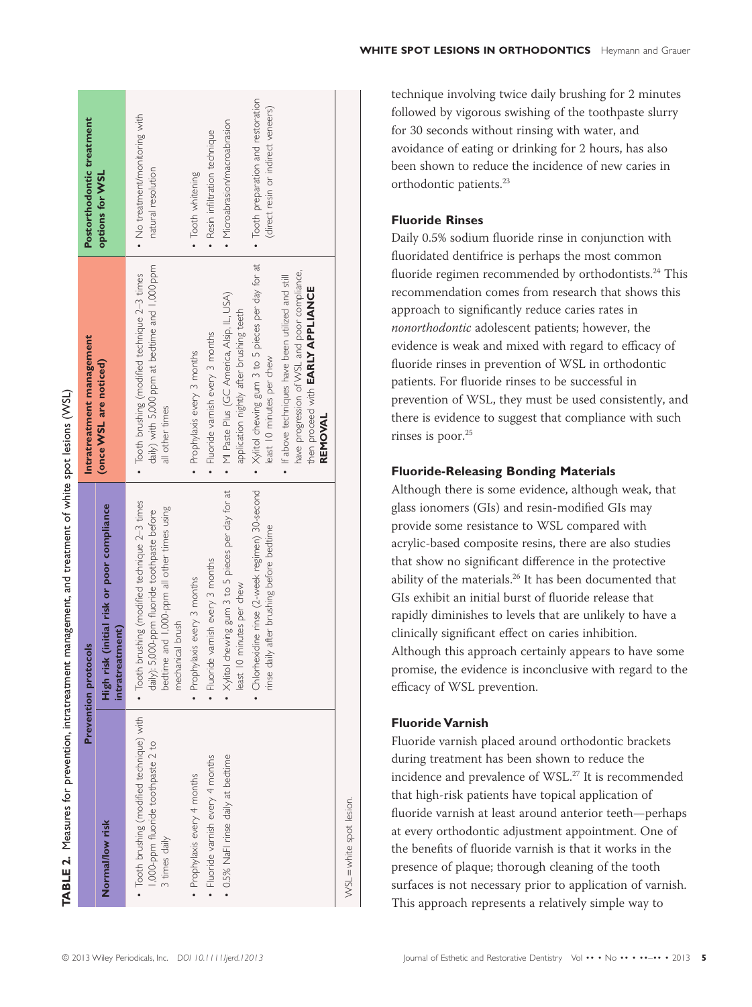|                                                                                                 | Prevention protocols                                                                                                                                              | Intratreatment management                                                                                                                                        | Postorthodontic treatment                                                 |  |
|-------------------------------------------------------------------------------------------------|-------------------------------------------------------------------------------------------------------------------------------------------------------------------|------------------------------------------------------------------------------------------------------------------------------------------------------------------|---------------------------------------------------------------------------|--|
| Normal/low risk                                                                                 | High risk (initial risk or poor compliance<br>intratreatment)                                                                                                     | (once WSL are noticed)                                                                                                                                           | options for WSL                                                           |  |
| Tooth brushing (modified technique) with<br>1,000-ppm fluoride toothpaste 2 to<br>8 times daily | • Tooth brushing (modified technique 2-3 times<br>bedtime and 1,000-ppm all other times using<br>daily): 5,000-ppm fluoride toothpaste before<br>mechanical brush | daily) with 5,000 ppm at bedtime and 1,000 ppm<br>Tooth brushing (modified technique 2-3 times<br>all other times                                                | • No treatment/monitoring with<br>natural resolution                      |  |
| Fluoride varnish every 4 months<br>• Prophylaxis every 4 months                                 | • Fluoride varnish every 3 months<br>· Prophylaxis every 3 months                                                                                                 | Fluoride varnish every 3 months<br>• Prophylaxis every 3 months                                                                                                  | · Resin infiltration technique<br>• Tooth whitening                       |  |
| . 0.5% NaFI rinse daily at bedtime                                                              | • Xyitol chewing gum 3 to 5 pieces per day for at<br>least 10 minutes per chew                                                                                    | • MI Paste Plus (GC America, Alsip, IL, USA)<br>application nightly after brushing teeth                                                                         | · Microabrasion/macroabrasion                                             |  |
|                                                                                                 | · Chlorhexidine rinse (2-week regimen) 30-second<br>rinse daily after brushing before bedtime                                                                     | Xylitol chewing gum 3 to 5 pieces per day for at<br>least 10 minutes per chew<br>$\ddot{\phantom{0}}$                                                            | · Tooth preparation and restoration<br>(direct resin or indirect veneers) |  |
|                                                                                                 |                                                                                                                                                                   | have progression of WSL and poor compliance,<br>• If above techniques have been utilized and still<br>then proceed with <b>EARLY APPLIANCE</b><br><b>REMOVAL</b> |                                                                           |  |
| WSL = white spot lesion.                                                                        |                                                                                                                                                                   |                                                                                                                                                                  |                                                                           |  |

technique involving twice daily brushing for 2 minutes followed by vigorous swishing of the toothpaste slurry for 30 seconds without rinsing with water, and avoidance of eating or drinking for 2 hours, has also been shown to reduce the incidence of new caries in orthodontic patients.<sup>23</sup>

## **Fluoride Rinses**

Daily 0.5% sodium fluoride rinse in conjunction with fluoridated dentifrice is perhaps the most common fluoride regimen recommended by orthodontists.<sup>24</sup> This recommendation comes from research that shows this approach to significantly reduce caries rates in *nonorthodontic* adolescent patients; however, the evidence is weak and mixed with regard to efficacy of fluoride rinses in prevention of WSL in orthodontic patients. For fluoride rinses to be successful in prevention of WSL, they must be used consistently, and there is evidence to suggest that compliance with such rinses is poor.<sup>25</sup>

#### **Fluoride-Releasing Bonding Materials**

Although there is some evidence, although weak, that glass ionomers (GIs) and resin-modified GIs may provide some resistance to WSL compared with acrylic-based composite resins, there are also studies that show no significant difference in the protective ability of the materials.26 It has been documented that GIs exhibit an initial burst of fluoride release that rapidly diminishes to levels that are unlikely to have a clinically significant effect on caries inhibition. Although this approach certainly appears to have some promise, the evidence is inconclusive with regard to the efficacy of WSL prevention.

#### **Fluoride Varnish**

Fluoride varnish placed around orthodontic brackets during treatment has been shown to reduce the incidence and prevalence of WSL.<sup>27</sup> It is recommended that high-risk patients have topical application of fluoride varnish at least around anterior teeth—perhaps at every orthodontic adjustment appointment. One of the benefits of fluoride varnish is that it works in the presence of plaque; thorough cleaning of the tooth surfaces is not necessary prior to application of varnish. This approach represents a relatively simple way to

**TABLE 2.**

Measures for prevention, intratreatment management, and treatment of white spot lesions (WSL)

TABLE 2. Measures for prevention, intratreatment management, and treatment of white spot lesions (WSL)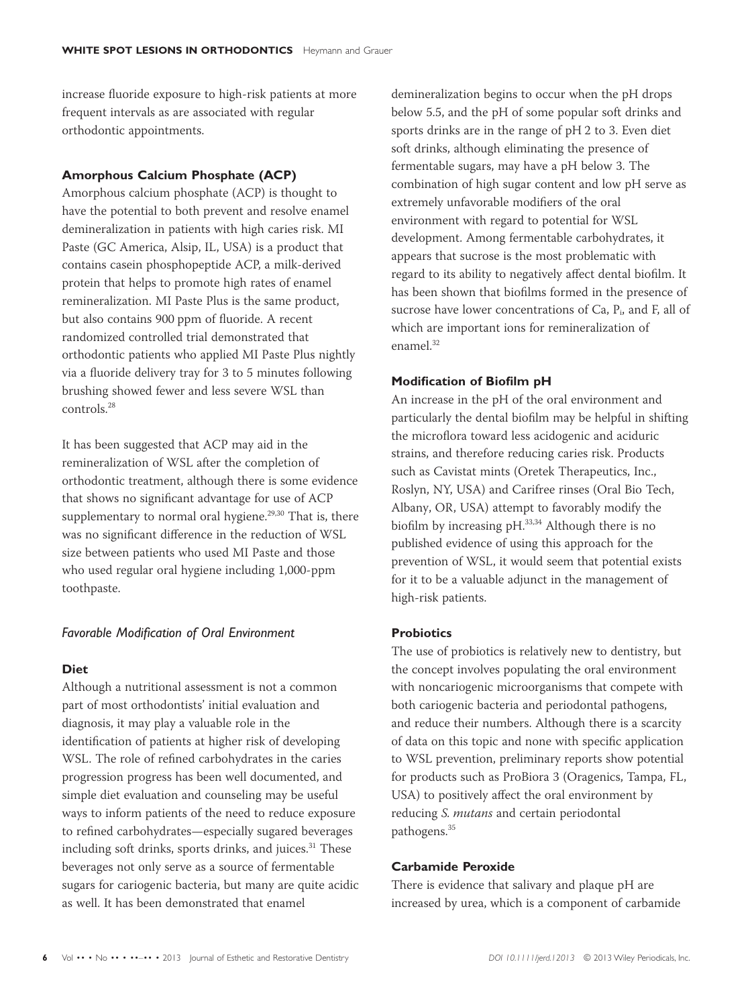increase fluoride exposure to high-risk patients at more frequent intervals as are associated with regular orthodontic appointments.

## **Amorphous Calcium Phosphate (ACP)**

Amorphous calcium phosphate (ACP) is thought to have the potential to both prevent and resolve enamel demineralization in patients with high caries risk. MI Paste (GC America, Alsip, IL, USA) is a product that contains casein phosphopeptide ACP, a milk-derived protein that helps to promote high rates of enamel remineralization. MI Paste Plus is the same product, but also contains 900 ppm of fluoride. A recent randomized controlled trial demonstrated that orthodontic patients who applied MI Paste Plus nightly via a fluoride delivery tray for 3 to 5 minutes following brushing showed fewer and less severe WSL than controls.28

It has been suggested that ACP may aid in the remineralization of WSL after the completion of orthodontic treatment, although there is some evidence that shows no significant advantage for use of ACP supplementary to normal oral hygiene.<sup>29,30</sup> That is, there was no significant difference in the reduction of WSL size between patients who used MI Paste and those who used regular oral hygiene including 1,000-ppm toothpaste.

#### *Favorable Modification of Oral Environment*

#### **Diet**

Although a nutritional assessment is not a common part of most orthodontists' initial evaluation and diagnosis, it may play a valuable role in the identification of patients at higher risk of developing WSL. The role of refined carbohydrates in the caries progression progress has been well documented, and simple diet evaluation and counseling may be useful ways to inform patients of the need to reduce exposure to refined carbohydrates—especially sugared beverages including soft drinks, sports drinks, and juices.<sup>31</sup> These beverages not only serve as a source of fermentable sugars for cariogenic bacteria, but many are quite acidic as well. It has been demonstrated that enamel

demineralization begins to occur when the pH drops below 5.5, and the pH of some popular soft drinks and sports drinks are in the range of pH 2 to 3. Even diet soft drinks, although eliminating the presence of fermentable sugars, may have a pH below 3. The combination of high sugar content and low pH serve as extremely unfavorable modifiers of the oral environment with regard to potential for WSL development. Among fermentable carbohydrates, it appears that sucrose is the most problematic with regard to its ability to negatively affect dental biofilm. It has been shown that biofilms formed in the presence of sucrose have lower concentrations of  $Ca, P<sub>i</sub>$ , and F, all of which are important ions for remineralization of enamel.32

#### **Modification of Biofilm pH**

An increase in the pH of the oral environment and particularly the dental biofilm may be helpful in shifting the microflora toward less acidogenic and aciduric strains, and therefore reducing caries risk. Products such as Cavistat mints (Oretek Therapeutics, Inc., Roslyn, NY, USA) and Carifree rinses (Oral Bio Tech, Albany, OR, USA) attempt to favorably modify the biofilm by increasing  $pH<sub>1</sub><sup>33,34</sup>$  Although there is no published evidence of using this approach for the prevention of WSL, it would seem that potential exists for it to be a valuable adjunct in the management of high-risk patients.

## **Probiotics**

The use of probiotics is relatively new to dentistry, but the concept involves populating the oral environment with noncariogenic microorganisms that compete with both cariogenic bacteria and periodontal pathogens, and reduce their numbers. Although there is a scarcity of data on this topic and none with specific application to WSL prevention, preliminary reports show potential for products such as ProBiora 3 (Oragenics, Tampa, FL, USA) to positively affect the oral environment by reducing *S. mutans* and certain periodontal pathogens.35

## **Carbamide Peroxide**

There is evidence that salivary and plaque pH are increased by urea, which is a component of carbamide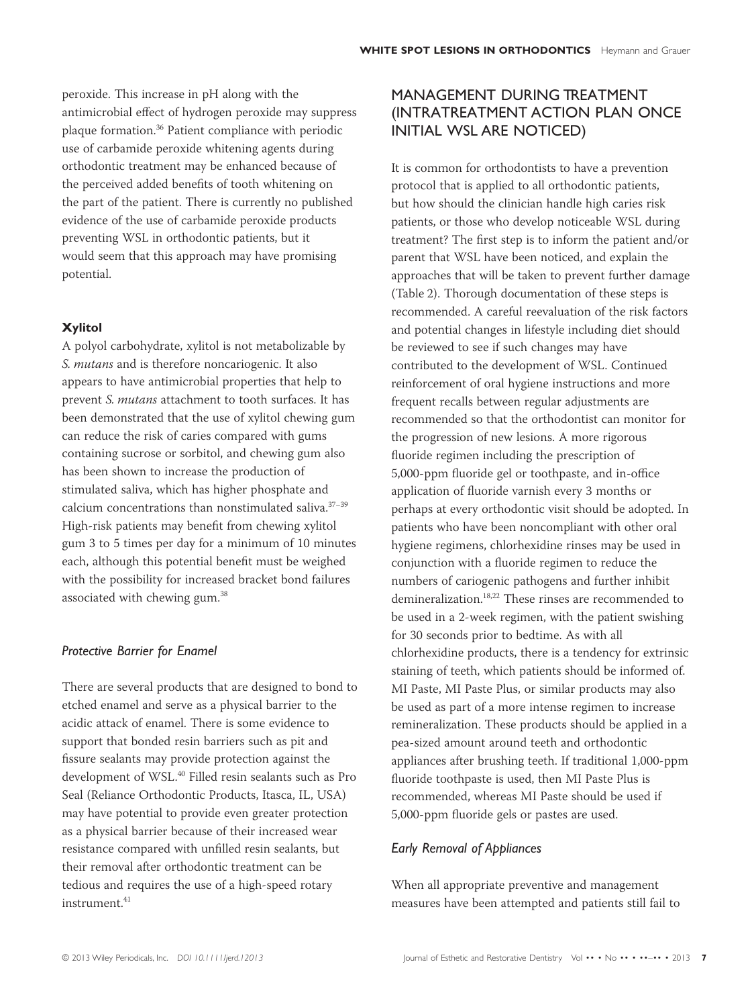peroxide. This increase in pH along with the antimicrobial effect of hydrogen peroxide may suppress plaque formation.36 Patient compliance with periodic use of carbamide peroxide whitening agents during orthodontic treatment may be enhanced because of the perceived added benefits of tooth whitening on the part of the patient. There is currently no published evidence of the use of carbamide peroxide products preventing WSL in orthodontic patients, but it would seem that this approach may have promising potential.

## **Xylitol**

A polyol carbohydrate, xylitol is not metabolizable by *S. mutans* and is therefore noncariogenic. It also appears to have antimicrobial properties that help to prevent *S. mutans* attachment to tooth surfaces. It has been demonstrated that the use of xylitol chewing gum can reduce the risk of caries compared with gums containing sucrose or sorbitol, and chewing gum also has been shown to increase the production of stimulated saliva, which has higher phosphate and calcium concentrations than nonstimulated saliva.37–39 High-risk patients may benefit from chewing xylitol gum 3 to 5 times per day for a minimum of 10 minutes each, although this potential benefit must be weighed with the possibility for increased bracket bond failures associated with chewing gum.<sup>38</sup>

## *Protective Barrier for Enamel*

There are several products that are designed to bond to etched enamel and serve as a physical barrier to the acidic attack of enamel. There is some evidence to support that bonded resin barriers such as pit and fissure sealants may provide protection against the development of WSL.40 Filled resin sealants such as Pro Seal (Reliance Orthodontic Products, Itasca, IL, USA) may have potential to provide even greater protection as a physical barrier because of their increased wear resistance compared with unfilled resin sealants, but their removal after orthodontic treatment can be tedious and requires the use of a high-speed rotary instrument.<sup>41</sup>

# MANAGEMENT DURING TREATMENT (INTRATREATMENT ACTION PLAN ONCE INITIAL WSL ARE NOTICED)

It is common for orthodontists to have a prevention protocol that is applied to all orthodontic patients, but how should the clinician handle high caries risk patients, or those who develop noticeable WSL during treatment? The first step is to inform the patient and/or parent that WSL have been noticed, and explain the approaches that will be taken to prevent further damage (Table 2). Thorough documentation of these steps is recommended. A careful reevaluation of the risk factors and potential changes in lifestyle including diet should be reviewed to see if such changes may have contributed to the development of WSL. Continued reinforcement of oral hygiene instructions and more frequent recalls between regular adjustments are recommended so that the orthodontist can monitor for the progression of new lesions. A more rigorous fluoride regimen including the prescription of 5,000-ppm fluoride gel or toothpaste, and in-office application of fluoride varnish every 3 months or perhaps at every orthodontic visit should be adopted. In patients who have been noncompliant with other oral hygiene regimens, chlorhexidine rinses may be used in conjunction with a fluoride regimen to reduce the numbers of cariogenic pathogens and further inhibit demineralization.18,22 These rinses are recommended to be used in a 2-week regimen, with the patient swishing for 30 seconds prior to bedtime. As with all chlorhexidine products, there is a tendency for extrinsic staining of teeth, which patients should be informed of. MI Paste, MI Paste Plus, or similar products may also be used as part of a more intense regimen to increase remineralization. These products should be applied in a pea-sized amount around teeth and orthodontic appliances after brushing teeth. If traditional 1,000-ppm fluoride toothpaste is used, then MI Paste Plus is recommended, whereas MI Paste should be used if 5,000-ppm fluoride gels or pastes are used.

## *Early Removal of Appliances*

When all appropriate preventive and management measures have been attempted and patients still fail to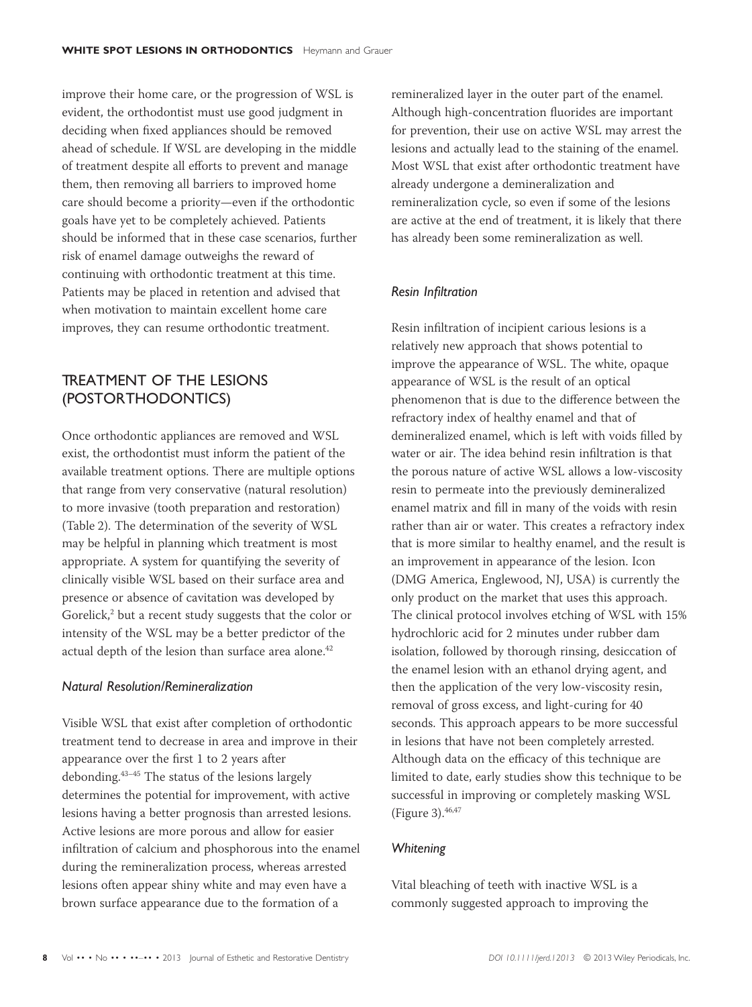improve their home care, or the progression of WSL is evident, the orthodontist must use good judgment in deciding when fixed appliances should be removed ahead of schedule. If WSL are developing in the middle of treatment despite all efforts to prevent and manage them, then removing all barriers to improved home care should become a priority—even if the orthodontic goals have yet to be completely achieved. Patients should be informed that in these case scenarios, further risk of enamel damage outweighs the reward of continuing with orthodontic treatment at this time. Patients may be placed in retention and advised that when motivation to maintain excellent home care improves, they can resume orthodontic treatment.

# TREATMENT OF THE LESIONS (POSTORTHODONTICS)

Once orthodontic appliances are removed and WSL exist, the orthodontist must inform the patient of the available treatment options. There are multiple options that range from very conservative (natural resolution) to more invasive (tooth preparation and restoration) (Table 2). The determination of the severity of WSL may be helpful in planning which treatment is most appropriate. A system for quantifying the severity of clinically visible WSL based on their surface area and presence or absence of cavitation was developed by Gorelick, $2$  but a recent study suggests that the color or intensity of the WSL may be a better predictor of the actual depth of the lesion than surface area alone.<sup>42</sup>

## *Natural Resolution/Remineralization*

Visible WSL that exist after completion of orthodontic treatment tend to decrease in area and improve in their appearance over the first 1 to 2 years after debonding.43–45 The status of the lesions largely determines the potential for improvement, with active lesions having a better prognosis than arrested lesions. Active lesions are more porous and allow for easier infiltration of calcium and phosphorous into the enamel during the remineralization process, whereas arrested lesions often appear shiny white and may even have a brown surface appearance due to the formation of a

remineralized layer in the outer part of the enamel. Although high-concentration fluorides are important for prevention, their use on active WSL may arrest the lesions and actually lead to the staining of the enamel. Most WSL that exist after orthodontic treatment have already undergone a demineralization and remineralization cycle, so even if some of the lesions are active at the end of treatment, it is likely that there has already been some remineralization as well.

#### *Resin Infiltration*

Resin infiltration of incipient carious lesions is a relatively new approach that shows potential to improve the appearance of WSL. The white, opaque appearance of WSL is the result of an optical phenomenon that is due to the difference between the refractory index of healthy enamel and that of demineralized enamel, which is left with voids filled by water or air. The idea behind resin infiltration is that the porous nature of active WSL allows a low-viscosity resin to permeate into the previously demineralized enamel matrix and fill in many of the voids with resin rather than air or water. This creates a refractory index that is more similar to healthy enamel, and the result is an improvement in appearance of the lesion. Icon (DMG America, Englewood, NJ, USA) is currently the only product on the market that uses this approach. The clinical protocol involves etching of WSL with 15% hydrochloric acid for 2 minutes under rubber dam isolation, followed by thorough rinsing, desiccation of the enamel lesion with an ethanol drying agent, and then the application of the very low-viscosity resin, removal of gross excess, and light-curing for 40 seconds. This approach appears to be more successful in lesions that have not been completely arrested. Although data on the efficacy of this technique are limited to date, early studies show this technique to be successful in improving or completely masking WSL (Figure 3).46,47

#### *Whitening*

Vital bleaching of teeth with inactive WSL is a commonly suggested approach to improving the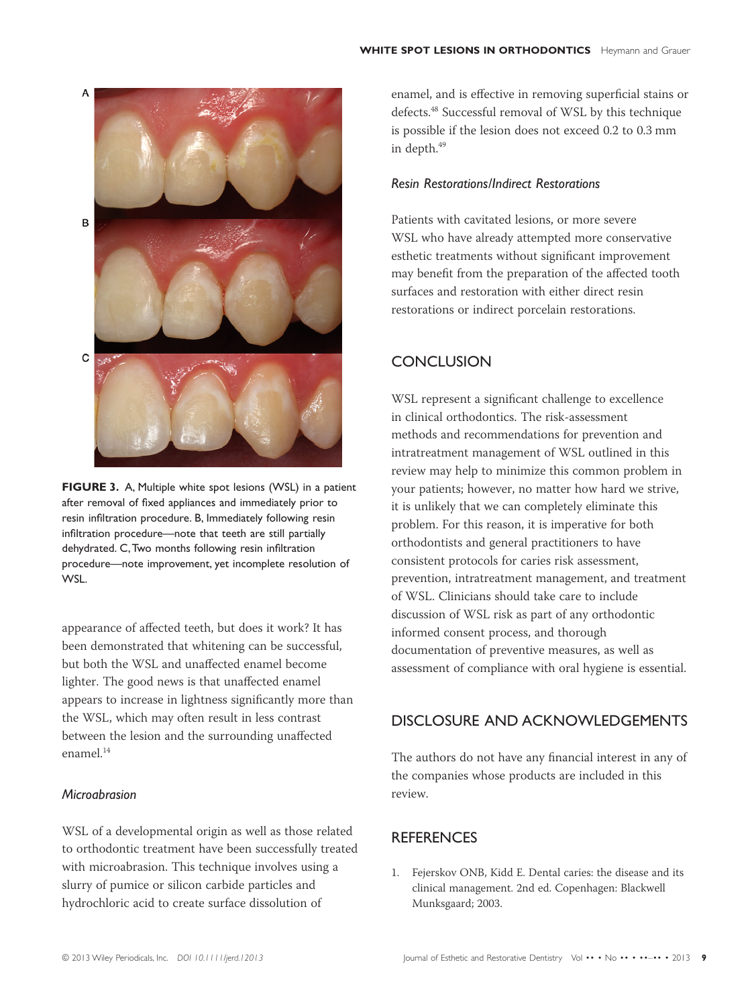

**FIGURE 3.** A, Multiple white spot lesions (WSL) in a patient after removal of fixed appliances and immediately prior to resin infiltration procedure. B, Immediately following resin infiltration procedure—note that teeth are still partially dehydrated. C,Two months following resin infiltration procedure—note improvement, yet incomplete resolution of WSL.

appearance of affected teeth, but does it work? It has been demonstrated that whitening can be successful, but both the WSL and unaffected enamel become lighter. The good news is that unaffected enamel appears to increase in lightness significantly more than the WSL, which may often result in less contrast between the lesion and the surrounding unaffected enamel.<sup>14</sup>

## *Microabrasion*

WSL of a developmental origin as well as those related to orthodontic treatment have been successfully treated with microabrasion. This technique involves using a slurry of pumice or silicon carbide particles and hydrochloric acid to create surface dissolution of

enamel, and is effective in removing superficial stains or defects.48 Successful removal of WSL by this technique is possible if the lesion does not exceed 0.2 to 0.3 mm in depth.<sup>49</sup>

## *Resin Restorations/Indirect Restorations*

Patients with cavitated lesions, or more severe WSL who have already attempted more conservative esthetic treatments without significant improvement may benefit from the preparation of the affected tooth surfaces and restoration with either direct resin restorations or indirect porcelain restorations.

# **CONCLUSION**

WSL represent a significant challenge to excellence in clinical orthodontics. The risk-assessment methods and recommendations for prevention and intratreatment management of WSL outlined in this review may help to minimize this common problem in your patients; however, no matter how hard we strive, it is unlikely that we can completely eliminate this problem. For this reason, it is imperative for both orthodontists and general practitioners to have consistent protocols for caries risk assessment, prevention, intratreatment management, and treatment of WSL. Clinicians should take care to include discussion of WSL risk as part of any orthodontic informed consent process, and thorough documentation of preventive measures, as well as assessment of compliance with oral hygiene is essential.

# DISCLOSURE AND ACKNOWLEDGEMENTS

The authors do not have any financial interest in any of the companies whose products are included in this review.

# **REFERENCES**

1. Fejerskov ONB, Kidd E. Dental caries: the disease and its clinical management. 2nd ed. Copenhagen: Blackwell Munksgaard; 2003.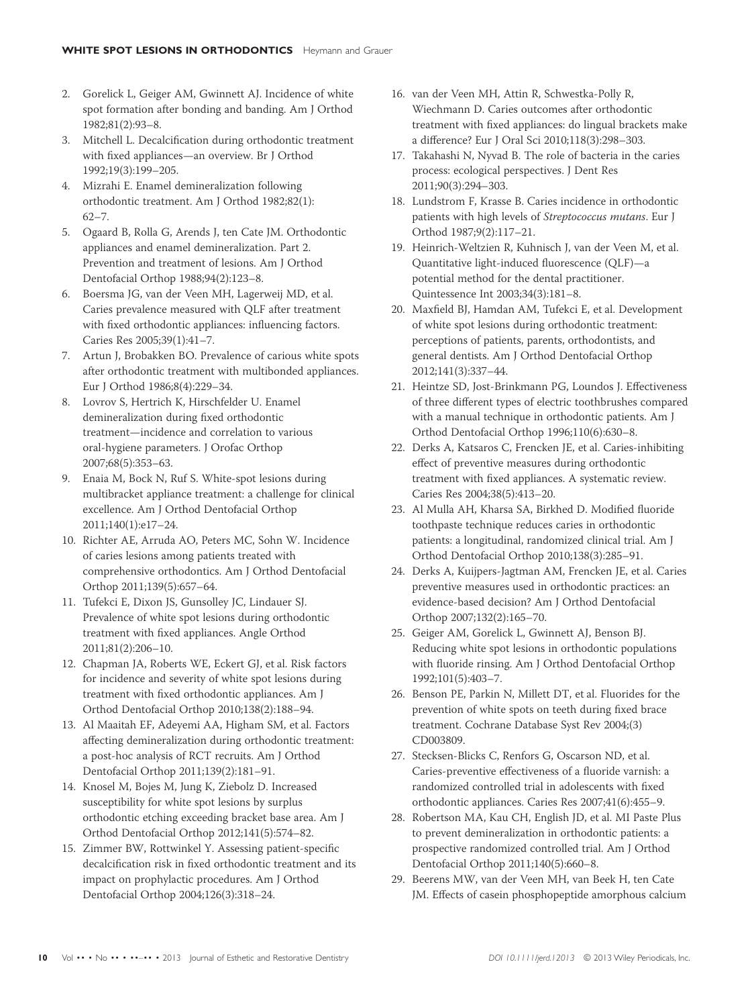- 2. Gorelick L, Geiger AM, Gwinnett AJ. Incidence of white spot formation after bonding and banding. Am J Orthod 1982;81(2):93–8.
- 3. Mitchell L. Decalcification during orthodontic treatment with fixed appliances—an overview. Br J Orthod 1992;19(3):199–205.
- 4. Mizrahi E. Enamel demineralization following orthodontic treatment. Am J Orthod 1982;82(1): 62–7.
- 5. Ogaard B, Rolla G, Arends J, ten Cate JM. Orthodontic appliances and enamel demineralization. Part 2. Prevention and treatment of lesions. Am J Orthod Dentofacial Orthop 1988;94(2):123–8.
- 6. Boersma JG, van der Veen MH, Lagerweij MD, et al. Caries prevalence measured with QLF after treatment with fixed orthodontic appliances: influencing factors. Caries Res 2005;39(1):41–7.
- 7. Artun J, Brobakken BO. Prevalence of carious white spots after orthodontic treatment with multibonded appliances. Eur J Orthod 1986;8(4):229–34.
- 8. Lovrov S, Hertrich K, Hirschfelder U. Enamel demineralization during fixed orthodontic treatment—incidence and correlation to various oral-hygiene parameters. J Orofac Orthop 2007;68(5):353–63.
- 9. Enaia M, Bock N, Ruf S. White-spot lesions during multibracket appliance treatment: a challenge for clinical excellence. Am J Orthod Dentofacial Orthop 2011;140(1):e17–24.
- 10. Richter AE, Arruda AO, Peters MC, Sohn W. Incidence of caries lesions among patients treated with comprehensive orthodontics. Am J Orthod Dentofacial Orthop 2011;139(5):657–64.
- 11. Tufekci E, Dixon JS, Gunsolley JC, Lindauer SJ. Prevalence of white spot lesions during orthodontic treatment with fixed appliances. Angle Orthod 2011;81(2):206–10.
- 12. Chapman JA, Roberts WE, Eckert GJ, et al. Risk factors for incidence and severity of white spot lesions during treatment with fixed orthodontic appliances. Am J Orthod Dentofacial Orthop 2010;138(2):188–94.
- 13. Al Maaitah EF, Adeyemi AA, Higham SM, et al. Factors affecting demineralization during orthodontic treatment: a post-hoc analysis of RCT recruits. Am J Orthod Dentofacial Orthop 2011;139(2):181–91.
- 14. Knosel M, Bojes M, Jung K, Ziebolz D. Increased susceptibility for white spot lesions by surplus orthodontic etching exceeding bracket base area. Am J Orthod Dentofacial Orthop 2012;141(5):574–82.
- 15. Zimmer BW, Rottwinkel Y. Assessing patient-specific decalcification risk in fixed orthodontic treatment and its impact on prophylactic procedures. Am J Orthod Dentofacial Orthop 2004;126(3):318–24.
- 16. van der Veen MH, Attin R, Schwestka-Polly R, Wiechmann D. Caries outcomes after orthodontic treatment with fixed appliances: do lingual brackets make a difference? Eur J Oral Sci 2010;118(3):298–303.
- 17. Takahashi N, Nyvad B. The role of bacteria in the caries process: ecological perspectives. J Dent Res 2011;90(3):294–303.
- 18. Lundstrom F, Krasse B. Caries incidence in orthodontic patients with high levels of *Streptococcus mutans*. Eur J Orthod 1987;9(2):117–21.
- 19. Heinrich-Weltzien R, Kuhnisch J, van der Veen M, et al. Quantitative light-induced fluorescence (QLF)—a potential method for the dental practitioner. Quintessence Int 2003;34(3):181–8.
- 20. Maxfield BJ, Hamdan AM, Tufekci E, et al. Development of white spot lesions during orthodontic treatment: perceptions of patients, parents, orthodontists, and general dentists. Am J Orthod Dentofacial Orthop 2012;141(3):337–44.
- 21. Heintze SD, Jost-Brinkmann PG, Loundos J. Effectiveness of three different types of electric toothbrushes compared with a manual technique in orthodontic patients. Am J Orthod Dentofacial Orthop 1996;110(6):630–8.
- 22. Derks A, Katsaros C, Frencken JE, et al. Caries-inhibiting effect of preventive measures during orthodontic treatment with fixed appliances. A systematic review. Caries Res 2004;38(5):413–20.
- 23. Al Mulla AH, Kharsa SA, Birkhed D. Modified fluoride toothpaste technique reduces caries in orthodontic patients: a longitudinal, randomized clinical trial. Am J Orthod Dentofacial Orthop 2010;138(3):285–91.
- 24. Derks A, Kuijpers-Jagtman AM, Frencken JE, et al. Caries preventive measures used in orthodontic practices: an evidence-based decision? Am J Orthod Dentofacial Orthop 2007;132(2):165–70.
- 25. Geiger AM, Gorelick L, Gwinnett AJ, Benson BJ. Reducing white spot lesions in orthodontic populations with fluoride rinsing. Am J Orthod Dentofacial Orthop 1992;101(5):403–7.
- 26. Benson PE, Parkin N, Millett DT, et al. Fluorides for the prevention of white spots on teeth during fixed brace treatment. Cochrane Database Syst Rev 2004;(3) CD003809.
- 27. Stecksen-Blicks C, Renfors G, Oscarson ND, et al. Caries-preventive effectiveness of a fluoride varnish: a randomized controlled trial in adolescents with fixed orthodontic appliances. Caries Res 2007;41(6):455–9.
- 28. Robertson MA, Kau CH, English JD, et al. MI Paste Plus to prevent demineralization in orthodontic patients: a prospective randomized controlled trial. Am J Orthod Dentofacial Orthop 2011;140(5):660–8.
- 29. Beerens MW, van der Veen MH, van Beek H, ten Cate JM. Effects of casein phosphopeptide amorphous calcium